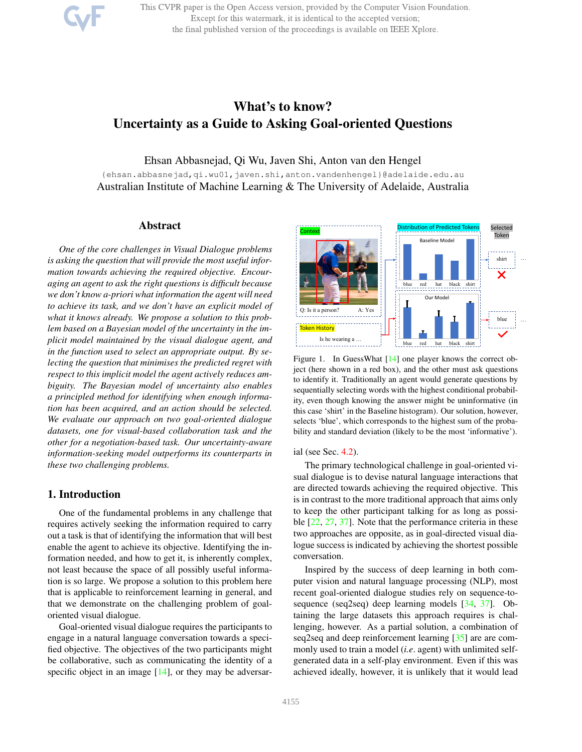This CVPR paper is the Open Access version, provided by the Computer Vision Foundation. Except for this watermark, it is identical to the accepted version; the final published version of the proceedings is available on IEEE Xplore.

# What's to know? Uncertainty as a Guide to Asking Goal-oriented Questions

Ehsan Abbasnejad, Qi Wu, Javen Shi, Anton van den Hengel

{ehsan.abbasnejad,qi.wu01,javen.shi,anton.vandenhengel}@adelaide.edu.au Australian Institute of Machine Learning & The University of Adelaide, Australia

## Abstract

*One of the core challenges in Visual Dialogue problems is asking the question that will provide the most useful information towards achieving the required objective. Encouraging an agent to ask the right questions is difficult because we don't know a-priori what information the agent will need to achieve its task, and we don't have an explicit model of what it knows already. We propose a solution to this problem based on a Bayesian model of the uncertainty in the implicit model maintained by the visual dialogue agent, and in the function used to select an appropriate output. By selecting the question that minimises the predicted regret with respect to this implicit model the agent actively reduces ambiguity. The Bayesian model of uncertainty also enables a principled method for identifying when enough information has been acquired, and an action should be selected. We evaluate our approach on two goal-oriented dialogue datasets, one for visual-based collaboration task and the other for a negotiation-based task. Our uncertainty-aware information-seeking model outperforms its counterparts in these two challenging problems.*

## 1. Introduction

One of the fundamental problems in any challenge that requires actively seeking the information required to carry out a task is that of identifying the information that will best enable the agent to achieve its objective. Identifying the information needed, and how to get it, is inherently complex, not least because the space of all possibly useful information is so large. We propose a solution to this problem here that is applicable to reinforcement learning in general, and that we demonstrate on the challenging problem of goaloriented visual dialogue.

Goal-oriented visual dialogue requires the participants to engage in a natural language conversation towards a specified objective. The objectives of the two participants might be collaborative, such as communicating the identity of a specific object in an image  $[14]$ , or they may be adversar-



Figure 1. In GuessWhat [14] one player knows the correct object (here shown in a red box), and the other must ask questions to identify it. Traditionally an agent would generate questions by sequentially selecting words with the highest conditional probability, even though knowing the answer might be uninformative (in this case 'shirt' in the Baseline histogram). Our solution, however, selects 'blue', which corresponds to the highest sum of the probability and standard deviation (likely to be the most 'informative').

#### ial (see Sec. 4.2).

The primary technological challenge in goal-oriented visual dialogue is to devise natural language interactions that are directed towards achieving the required objective. This is in contrast to the more traditional approach that aims only to keep the other participant talking for as long as possible [22, 27, 37]. Note that the performance criteria in these two approaches are opposite, as in goal-directed visual dialogue success is indicated by achieving the shortest possible conversation.

Inspired by the success of deep learning in both computer vision and natural language processing (NLP), most recent goal-oriented dialogue studies rely on sequence-tosequence (seq2seq) deep learning models [34, 37]. Obtaining the large datasets this approach requires is challenging, however. As a partial solution, a combination of seq2seq and deep reinforcement learning [35] are are commonly used to train a model (*i.e*. agent) with unlimited selfgenerated data in a self-play environment. Even if this was achieved ideally, however, it is unlikely that it would lead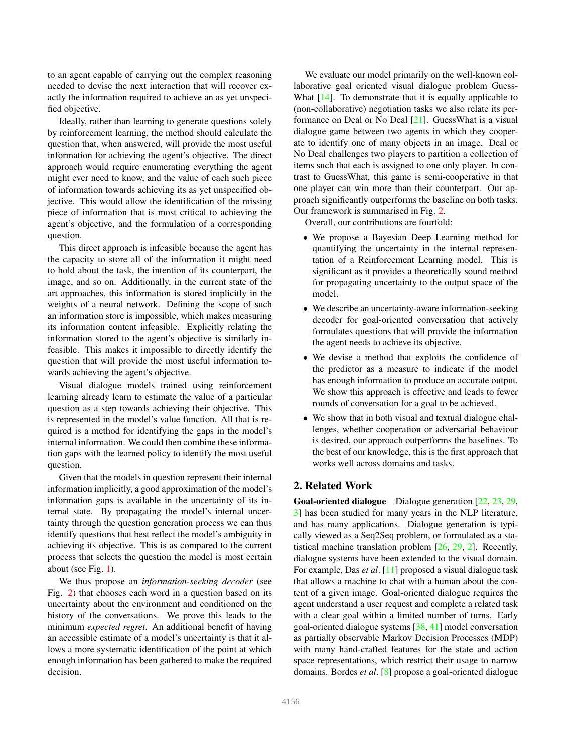to an agent capable of carrying out the complex reasoning needed to devise the next interaction that will recover exactly the information required to achieve an as yet unspecified objective.

Ideally, rather than learning to generate questions solely by reinforcement learning, the method should calculate the question that, when answered, will provide the most useful information for achieving the agent's objective. The direct approach would require enumerating everything the agent might ever need to know, and the value of each such piece of information towards achieving its as yet unspecified objective. This would allow the identification of the missing piece of information that is most critical to achieving the agent's objective, and the formulation of a corresponding question.

This direct approach is infeasible because the agent has the capacity to store all of the information it might need to hold about the task, the intention of its counterpart, the image, and so on. Additionally, in the current state of the art approaches, this information is stored implicitly in the weights of a neural network. Defining the scope of such an information store is impossible, which makes measuring its information content infeasible. Explicitly relating the information stored to the agent's objective is similarly infeasible. This makes it impossible to directly identify the question that will provide the most useful information towards achieving the agent's objective.

Visual dialogue models trained using reinforcement learning already learn to estimate the value of a particular question as a step towards achieving their objective. This is represented in the model's value function. All that is required is a method for identifying the gaps in the model's internal information. We could then combine these information gaps with the learned policy to identify the most useful question.

Given that the models in question represent their internal information implicitly, a good approximation of the model's information gaps is available in the uncertainty of its internal state. By propagating the model's internal uncertainty through the question generation process we can thus identify questions that best reflect the model's ambiguity in achieving its objective. This is as compared to the current process that selects the question the model is most certain about (see Fig. 1).

We thus propose an *information-seeking decoder* (see Fig. 2) that chooses each word in a question based on its uncertainty about the environment and conditioned on the history of the conversations. We prove this leads to the minimum *expected regret*. An additional benefit of having an accessible estimate of a model's uncertainty is that it allows a more systematic identification of the point at which enough information has been gathered to make the required decision.

We evaluate our model primarily on the well-known collaborative goal oriented visual dialogue problem Guess-What [14]. To demonstrate that it is equally applicable to (non-collaborative) negotiation tasks we also relate its performance on Deal or No Deal [21]. GuessWhat is a visual dialogue game between two agents in which they cooperate to identify one of many objects in an image. Deal or No Deal challenges two players to partition a collection of items such that each is assigned to one only player. In contrast to GuessWhat, this game is semi-cooperative in that one player can win more than their counterpart. Our approach significantly outperforms the baseline on both tasks. Our framework is summarised in Fig. 2.

Overall, our contributions are fourfold:

- We propose a Bayesian Deep Learning method for quantifying the uncertainty in the internal representation of a Reinforcement Learning model. This is significant as it provides a theoretically sound method for propagating uncertainty to the output space of the model.
- We describe an uncertainty-aware information-seeking decoder for goal-oriented conversation that actively formulates questions that will provide the information the agent needs to achieve its objective.
- We devise a method that exploits the confidence of the predictor as a measure to indicate if the model has enough information to produce an accurate output. We show this approach is effective and leads to fewer rounds of conversation for a goal to be achieved.
- We show that in both visual and textual dialogue challenges, whether cooperation or adversarial behaviour is desired, our approach outperforms the baselines. To the best of our knowledge, this is the first approach that works well across domains and tasks.

## 2. Related Work

Goal-oriented dialogue Dialogue generation [22, 23, 29, 3] has been studied for many years in the NLP literature, and has many applications. Dialogue generation is typically viewed as a Seq2Seq problem, or formulated as a statistical machine translation problem [26, 29, 2]. Recently, dialogue systems have been extended to the visual domain. For example, Das *et al*. [11] proposed a visual dialogue task that allows a machine to chat with a human about the content of a given image. Goal-oriented dialogue requires the agent understand a user request and complete a related task with a clear goal within a limited number of turns. Early goal-oriented dialogue systems [38, 41] model conversation as partially observable Markov Decision Processes (MDP) with many hand-crafted features for the state and action space representations, which restrict their usage to narrow domains. Bordes *et al*. [8] propose a goal-oriented dialogue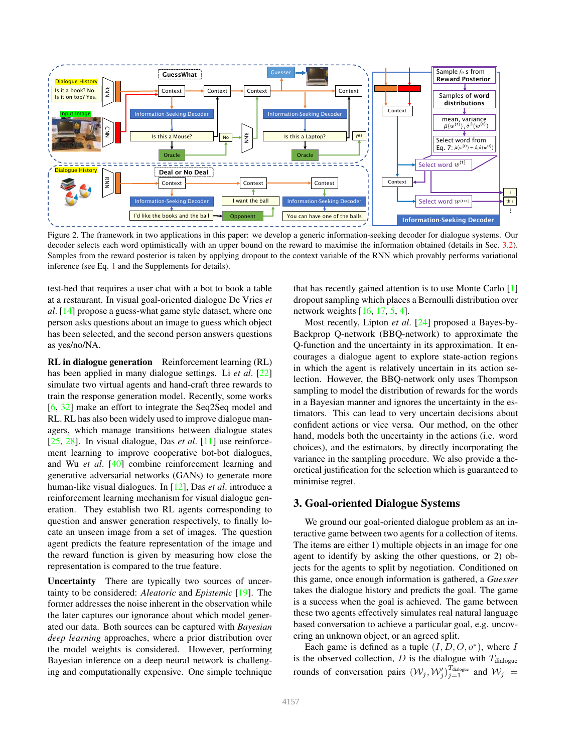

Figure 2. The framework in two applications in this paper: we develop a generic information-seeking decoder for dialogue systems. Our decoder selects each word optimistically with an upper bound on the reward to maximise the information obtained (details in Sec. 3.2). Samples from the reward posterior is taken by applying dropout to the context variable of the RNN which provably performs variational inference (see Eq. 1 and the Supplements for details).

test-bed that requires a user chat with a bot to book a table at a restaurant. In visual goal-oriented dialogue De Vries *et al*. [14] propose a guess-what game style dataset, where one person asks questions about an image to guess which object has been selected, and the second person answers questions as yes/no/NA.

RL in dialogue generation Reinforcement learning (RL) has been applied in many dialogue settings. Li *et al*. [22] simulate two virtual agents and hand-craft three rewards to train the response generation model. Recently, some works [6, 32] make an effort to integrate the Seq2Seq model and RL. RL has also been widely used to improve dialogue managers, which manage transitions between dialogue states [25, 28]. In visual dialogue, Das *et al*. [11] use reinforcement learning to improve cooperative bot-bot dialogues, and Wu *et al*. [40] combine reinforcement learning and generative adversarial networks (GANs) to generate more human-like visual dialogues. In [12], Das *et al*. introduce a reinforcement learning mechanism for visual dialogue generation. They establish two RL agents corresponding to question and answer generation respectively, to finally locate an unseen image from a set of images. The question agent predicts the feature representation of the image and the reward function is given by measuring how close the representation is compared to the true feature.

Uncertainty There are typically two sources of uncertainty to be considered: *Aleatoric* and *Epistemic* [19]. The former addresses the noise inherent in the observation while the later captures our ignorance about which model generated our data. Both sources can be captured with *Bayesian deep learning* approaches, where a prior distribution over the model weights is considered. However, performing Bayesian inference on a deep neural network is challenging and computationally expensive. One simple technique that has recently gained attention is to use Monte Carlo [1] dropout sampling which places a Bernoulli distribution over network weights [16, 17, 5, 4].

Most recently, Lipton *et al*. [24] proposed a Bayes-by-Backprop Q-network (BBQ-network) to approximate the Q-function and the uncertainty in its approximation. It encourages a dialogue agent to explore state-action regions in which the agent is relatively uncertain in its action selection. However, the BBQ-network only uses Thompson sampling to model the distribution of rewards for the words in a Bayesian manner and ignores the uncertainty in the estimators. This can lead to very uncertain decisions about confident actions or vice versa. Our method, on the other hand, models both the uncertainty in the actions (i.e. word choices), and the estimators, by directly incorporating the variance in the sampling procedure. We also provide a theoretical justification for the selection which is guaranteed to minimise regret.

## 3. Goal-oriented Dialogue Systems

We ground our goal-oriented dialogue problem as an interactive game between two agents for a collection of items. The items are either 1) multiple objects in an image for one agent to identify by asking the other questions, or 2) objects for the agents to split by negotiation. Conditioned on this game, once enough information is gathered, a *Guesser* takes the dialogue history and predicts the goal. The game is a success when the goal is achieved. The game between these two agents effectively simulates real natural language based conversation to achieve a particular goal, e.g. uncovering an unknown object, or an agreed split.

Each game is defined as a tuple  $(I, D, O, o^*)$ , where I is the observed collection,  $D$  is the dialogue with  $T_{\text{dialogue}}$ rounds of conversation pairs  $(W_j, W'_j)_{j=1}^{T_{\text{dialogue}}}$  and  $W_j =$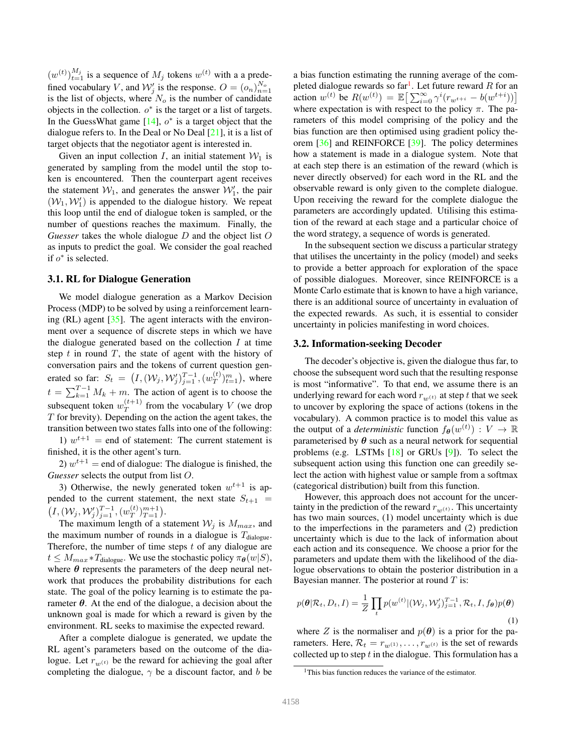$(w^{(t)})_{t=1}^{M_j}$  is a sequence of  $M_j$  tokens  $w^{(t)}$  with a a predefined vocabulary V, and  $W'_j$  is the response.  $O = (o_n)_{n=1}^{N_o}$ is the list of objects, where  $N<sub>o</sub>$  is the number of candidate objects in the collection.  $o^*$  is the target or a list of targets. In the GuessWhat game  $[14]$ ,  $o^*$  is a target object that the dialogue refers to. In the Deal or No Deal [21], it is a list of target objects that the negotiator agent is interested in.

Given an input collection I, an initial statement  $W_1$  is generated by sampling from the model until the stop token is encountered. Then the counterpart agent receives the statement  $W_1$ , and generates the answer  $W'_1$ , the pair  $(W_1, W'_1)$  is appended to the dialogue history. We repeat this loop until the end of dialogue token is sampled, or the number of questions reaches the maximum. Finally, the *Guesser* takes the whole dialogue D and the object list O as inputs to predict the goal. We consider the goal reached if  $o^*$  is selected.

#### 3.1. RL for Dialogue Generation

We model dialogue generation as a Markov Decision Process (MDP) to be solved by using a reinforcement learning  $(RL)$  agent  $[35]$ . The agent interacts with the environment over a sequence of discrete steps in which we have the dialogue generated based on the collection  $I$  at time step  $t$  in round  $T$ , the state of agent with the history of conversation pairs and the tokens of current question generated so far:  $S_t = (I, (W_j, W'_j)_{j=1}^{T-1}, (w_T^{(t)})_{t=1}^m)$ , where  $t = \sum_{k=1}^{T-1} M_k + m$ . The action of agent is to choose the subsequent token  $w_T^{(t+1)}$  from the vocabulary V (we drop  $T$  for brevity). Depending on the action the agent takes, the transition between two states falls into one of the following:

1)  $w^{t+1}$  = end of statement: The current statement is finished, it is the other agent's turn.

2)  $w^{t+1}$  = end of dialogue: The dialogue is finished, the *Guesser* selects the output from list O.

3) Otherwise, the newly generated token  $w^{t+1}$  is appended to the current statement, the next state  $S_{t+1}$  =  $(I, (W_j, W'_j)_{j=1}^{T-1}, (w_T^{(t)})_{T=1}^{m+1}).$ 

The maximum length of a statement  $W_j$  is  $M_{max}$ , and the maximum number of rounds in a dialogue is  $T_{\text{dialogue}}$ . Therefore, the number of time steps  $t$  of any dialogue are  $t \leq M_{max} * T_{\text{dialogue}}$ . We use the stochastic policy  $\pi_{\theta}(w|S)$ , where  $\theta$  represents the parameters of the deep neural network that produces the probability distributions for each state. The goal of the policy learning is to estimate the parameter  $\theta$ . At the end of the dialogue, a decision about the unknown goal is made for which a reward is given by the environment. RL seeks to maximise the expected reward.

After a complete dialogue is generated, we update the RL agent's parameters based on the outcome of the dialogue. Let  $r_{w(t)}$  be the reward for achieving the goal after completing the dialogue,  $\gamma$  be a discount factor, and b be

a bias function estimating the running average of the completed dialogue rewards so far<sup>1</sup>. Let future reward R for an action  $w^{(t)}$  be  $R(w^{(t)}) = \mathbb{E}\big[\sum_{i=0}^{\infty} \gamma^{i} (r_{w^{t+i}} - b(w^{t+i}))\big]$ where expectation is with respect to the policy  $\pi$ . The parameters of this model comprising of the policy and the bias function are then optimised using gradient policy theorem [36] and REINFORCE [39]. The policy determines how a statement is made in a dialogue system. Note that at each step there is an estimation of the reward (which is never directly observed) for each word in the RL and the observable reward is only given to the complete dialogue. Upon receiving the reward for the complete dialogue the parameters are accordingly updated. Utilising this estimation of the reward at each stage and a particular choice of the word strategy, a sequence of words is generated.

In the subsequent section we discuss a particular strategy that utilises the uncertainty in the policy (model) and seeks to provide a better approach for exploration of the space of possible dialogues. Moreover, since REINFORCE is a Monte Carlo estimate that is known to have a high variance, there is an additional source of uncertainty in evaluation of the expected rewards. As such, it is essential to consider uncertainty in policies manifesting in word choices.

#### 3.2. Information-seeking Decoder

The decoder's objective is, given the dialogue thus far, to choose the subsequent word such that the resulting response is most "informative". To that end, we assume there is an underlying reward for each word  $r_{w(t)}$  at step t that we seek to uncover by exploring the space of actions (tokens in the vocabulary). A common practice is to model this value as the output of a *deterministic* function  $f_{\theta}(w^{(t)}) : V \to \mathbb{R}$ parameterised by  $\theta$  such as a neural network for sequential problems (e.g. LSTMs [18] or GRUs [9]). To select the subsequent action using this function one can greedily select the action with highest value or sample from a softmax (categorical distribution) built from this function.

However, this approach does not account for the uncertainty in the prediction of the reward  $r_{w(t)}$ . This uncertainty has two main sources, (1) model uncertainty which is due to the imperfections in the parameters and (2) prediction uncertainty which is due to the lack of information about each action and its consequence. We choose a prior for the parameters and update them with the likelihood of the dialogue observations to obtain the posterior distribution in a Bayesian manner. The posterior at round  $T$  is:

$$
p(\boldsymbol{\theta}|\mathcal{R}_t, D_t, I) = \frac{1}{Z} \prod_t p(w^{(t)} | (\mathcal{W}_j, \mathcal{W}_j')_{j=1}^{T-1}, \mathcal{R}_t, I, f_{\boldsymbol{\theta}}) p(\boldsymbol{\theta})
$$
\n(1)

where Z is the normaliser and  $p(\theta)$  is a prior for the parameters. Here,  $\mathcal{R}_t = r_{w(1)}, \dots, r_{w(t)}$  is the set of rewards collected up to step  $t$  in the dialogue. This formulation has a

<sup>&</sup>lt;sup>1</sup>This bias function reduces the variance of the estimator.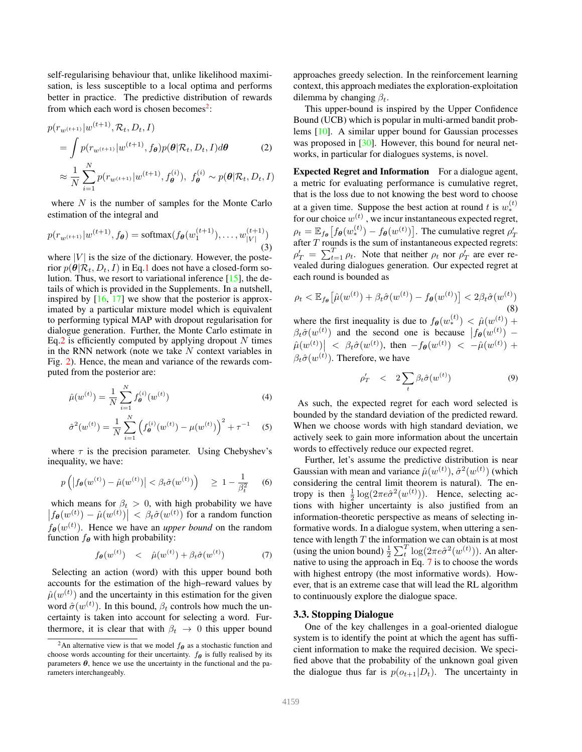self-regularising behaviour that, unlike likelihood maximisation, is less susceptible to a local optima and performs better in practice. The predictive distribution of rewards from which each word is chosen becomes<sup>2</sup>:

$$
p(r_{w^{(t+1)}}|w^{(t+1)}, \mathcal{R}_t, D_t, I)
$$
  
= 
$$
\int p(r_{w^{(t+1)}}|w^{(t+1)}, f_{\theta})p(\theta|\mathcal{R}_t, D_t, I)d\theta
$$
 (2)  

$$
\approx \frac{1}{N} \sum_{i=1}^N p(r_{w^{(t+1)}}|w^{(t+1)}, f_{\theta}^{(i)}), f_{\theta}^{(i)} \sim p(\theta|\mathcal{R}_t, D_t, I)
$$

where  $N$  is the number of samples for the Monte Carlo estimation of the integral and

$$
p(r_{w^{(t+1)}}|w^{(t+1)}, f_{\theta}) = \text{softmax}(f_{\theta}(w_1^{(t+1)}), \dots, w_{|V|}^{(t+1)})
$$
\n(3)

where  $|V|$  is the size of the dictionary. However, the posterior  $p(\theta|\mathcal{R}_t, D_t, I)$  in Eq.1 does not have a closed-form solution. Thus, we resort to variational inference  $[15]$ , the details of which is provided in the Supplements. In a nutshell, inspired by  $[16, 17]$  we show that the posterior is approximated by a particular mixture model which is equivalent to performing typical MAP with dropout regularisation for dialogue generation. Further, the Monte Carlo estimate in Eq.2 is efficiently computed by applying dropout  $N$  times in the RNN network (note we take  $N$  context variables in Fig. 2). Hence, the mean and variance of the rewards computed from the posterior are:

$$
\hat{\mu}(w^{(t)}) = \frac{1}{N} \sum_{i=1}^{N} f_{\theta}^{(i)}(w^{(t)})
$$
\n(4)

$$
\hat{\sigma}^{2}(w^{(t)}) = \frac{1}{N} \sum_{i=1}^{N} \left( f_{\theta}^{(i)}(w^{(t)}) - \mu(w^{(t)}) \right)^{2} + \tau^{-1}
$$
 (5)

where  $\tau$  is the precision parameter. Using Chebyshev's inequality, we have:

$$
p\left(\left|f_{\boldsymbol{\theta}}(w^{(t)}) - \hat{\mu}(w^{(t)})\right| < \beta_t \hat{\sigma}(w^{(t)})\right) \ge 1 - \frac{1}{\beta_t^2} \tag{6}
$$

which means for  $\beta_t > 0$ , with high probability we have  $|f_{\theta}(w^{(t)}) - \hat{\mu}(w^{(t)})| < \beta_t \hat{\sigma}(w^{(t)})$  for a random function  $f_{\theta}(w^{(t)})$ . Hence we have an *upper bound* on the random function  $f_{\theta}$  with high probability:

$$
f_{\theta}(w^{(t)}) \quad < \quad \hat{\mu}(w^{(t)}) + \beta_t \hat{\sigma}(w^{(t)}) \tag{7}
$$

Selecting an action (word) with this upper bound both accounts for the estimation of the high–reward values by  $\hat{\mu}(w^{(t)})$  and the uncertainty in this estimation for the given word  $\hat{\sigma}(w^{(t)})$ . In this bound,  $\beta_t$  controls how much the uncertainty is taken into account for selecting a word. Furthermore, it is clear that with  $\beta_t \rightarrow 0$  this upper bound

approaches greedy selection. In the reinforcement learning context, this approach mediates the exploration-exploitation dilemma by changing  $\beta_t$ .

This upper-bound is inspired by the Upper Confidence Bound (UCB) which is popular in multi-armed bandit problems [10]. A similar upper bound for Gaussian processes was proposed in [30]. However, this bound for neural networks, in particular for dialogues systems, is novel.

Expected Regret and Information For a dialogue agent, a metric for evaluating performance is cumulative regret, that is the loss due to not knowing the best word to choose at a given time. Suppose the best action at round t is  $w_*^{(t)}$ for our choice  $w^{(t)}$  , we incur instantaneous expected regret,  $\rho_t = \mathbb{E}_{f_{\theta}}\big[ f_{\theta}(w_*^{(t)}) - f_{\theta}(w^{(t)}) \big].$  The cumulative regret  $\rho'_T$ after  $T$  rounds is the sum of instantaneous expected regrets:  $\rho'_T = \sum_{t=1}^T \rho_t$ . Note that neither  $\rho_t$  nor  $\rho'_T$  are ever revealed during dialogues generation. Our expected regret at each round is bounded as

$$
\rho_t < \mathbb{E}_{f_{\boldsymbol{\theta}}} \left[ \hat{\mu}(w^{(t)}) + \beta_t \hat{\sigma}(w^{(t)}) - f_{\boldsymbol{\theta}}(w^{(t)}) \right] < 2\beta_t \hat{\sigma}(w^{(t)}) \tag{8}
$$

where the first inequality is due to  $f_{\theta}(w_*^{(t)}) < \hat{\mu}(w^{(t)}) +$  $\beta_t \hat{\sigma}(w^{(t)})$  and the second one is because  $|f_{\theta}(w^{(t)}) \left|\hat{\mu}(w^{(t)})\right| \leq \beta_t \hat{\sigma}(w^{(t)}), \text{ then } -f_{\theta}(w^{(t)}) \leq -\hat{\mu}(w^{(t)}) +$  $\beta_t \hat{\sigma}(w^{(t)})$ . Therefore, we have

$$
\rho'_T \quad < \quad 2 \sum_t \beta_t \hat{\sigma}(w^{(t)}) \tag{9}
$$

As such, the expected regret for each word selected is bounded by the standard deviation of the predicted reward. When we choose words with high standard deviation, we actively seek to gain more information about the uncertain words to effectively reduce our expected regret.

Further, let's assume the predictive distribution is near Gaussian with mean and variance  $\hat{\mu}(w^{(t)}), \hat{\sigma}^2(w^{(t)})$  (which considering the central limit theorem is natural). The entropy is then  $\frac{1}{2} \log(2\pi e \hat{\sigma}^2(w^{(t)}))$ . Hence, selecting actions with higher uncertainty is also justified from an information-theoretic perspective as means of selecting informative words. In a dialogue system, when uttering a sentence with length  $T$  the information we can obtain is at most (using the union bound)  $\frac{1}{2} \sum_{t}^{T} \log(2\pi e \hat{\sigma}^{2}(w^{(t)}))$ . An alternative to using the approach in Eq. 7 is to choose the words with highest entropy (the most informative words). However, that is an extreme case that will lead the RL algorithm to continuously explore the dialogue space.

#### 3.3. Stopping Dialogue

One of the key challenges in a goal-oriented dialogue system is to identify the point at which the agent has sufficient information to make the required decision. We specified above that the probability of the unknown goal given the dialogue thus far is  $p(o_{t+1}|D_t)$ . The uncertainty in

<sup>&</sup>lt;sup>2</sup>An alternative view is that we model  $f_{\theta}$  as a stochastic function and choose words accounting for their uncertainty.  $f_{\theta}$  is fully realised by its parameters  $\theta$ , hence we use the uncertainty in the functional and the parameters interchangeably.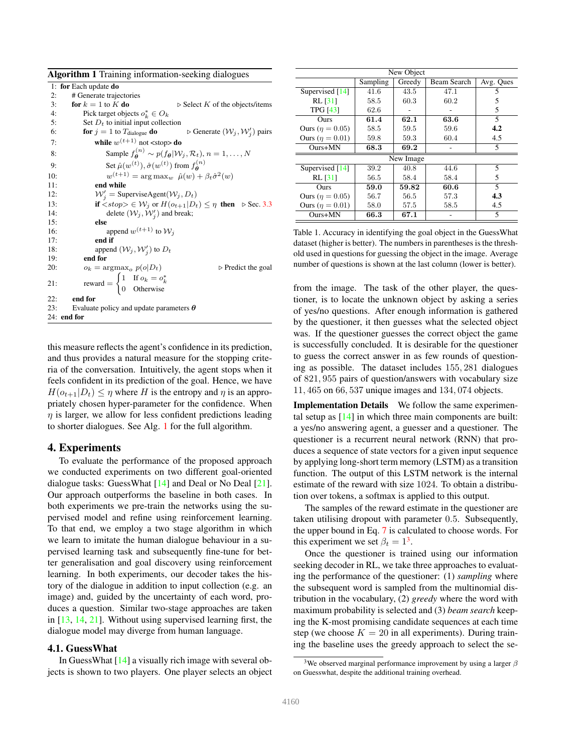| <b>Algorithm 1</b> Training information-seeking dialogues |                                                                                                                   |  |  |  |  |
|-----------------------------------------------------------|-------------------------------------------------------------------------------------------------------------------|--|--|--|--|
|                                                           | 1: for Each update do                                                                                             |  |  |  |  |
| 2:                                                        | # Generate trajectories                                                                                           |  |  |  |  |
| 3:                                                        | $\triangleright$ Select K of the objects/items<br>for $k = 1$ to K do                                             |  |  |  |  |
| 4:                                                        | Pick target objects $o_k^* \in O_k$                                                                               |  |  |  |  |
| 5:                                                        | Set $D_t$ to initial input collection                                                                             |  |  |  |  |
| 6:                                                        | $\triangleright$ Generate $(\mathcal{W}_j, \mathcal{W}'_j)$ pairs<br>for $j = 1$ to $T_{\text{dialogue}}$ do      |  |  |  |  |
| 7:                                                        | while $w^{(t+1)}$ not <stop> do</stop>                                                                            |  |  |  |  |
| 8:                                                        | Sample $f_{\mathbf{\theta}}^{(n)} \sim p(f_{\mathbf{\theta}}   \mathcal{W}_i, \mathcal{R}_t), n = 1, \ldots, N$   |  |  |  |  |
| 9:                                                        | Set $\hat{\mu}(w^{(t)}), \hat{\sigma}(w^{(t)})$ from $f_{\mathbf{a}}^{(n)}$                                       |  |  |  |  |
| 10:                                                       | $w^{(t+1)} = \arg \max_{w} \hat{\mu}(w) + \beta_t \hat{\sigma}^2(w)$                                              |  |  |  |  |
| 11:                                                       | end while                                                                                                         |  |  |  |  |
| 12:                                                       | $W'_i$ = SuperviseAgent( $W_j, D_t$ )                                                                             |  |  |  |  |
| 13:                                                       | if $\langle \textit{stop} \rangle \in \mathcal{W}_j$ or $H(o_{t+1} D_t) \leq \eta$ then $\triangleright$ Sec. 3.3 |  |  |  |  |
| 14:                                                       | delete $(\mathcal{W}_j, \mathcal{W}'_j)$ and break;                                                               |  |  |  |  |
| 15:                                                       | else                                                                                                              |  |  |  |  |
| 16:                                                       | append $w^{(t+1)}$ to $\mathcal{W}_i$                                                                             |  |  |  |  |
| 17:                                                       | end if                                                                                                            |  |  |  |  |
| 18:                                                       | append $(\mathcal{W}_j, \mathcal{W}'_j)$ to $D_t$                                                                 |  |  |  |  |
| 19:                                                       | end for                                                                                                           |  |  |  |  |
| 20:                                                       | $o_k = \argmax_o p(o D_t)$<br>$\triangleright$ Predict the goal                                                   |  |  |  |  |
| 21:                                                       | reward = $\begin{cases} 1 & \text{If } o_k = o_k^* \\ 0 & \text{Otherwise} \end{cases}$                           |  |  |  |  |
|                                                           |                                                                                                                   |  |  |  |  |
| 22:                                                       | end for                                                                                                           |  |  |  |  |
| 23:                                                       | Evaluate policy and update parameters $\theta$                                                                    |  |  |  |  |
|                                                           | $24:$ end for                                                                                                     |  |  |  |  |

this measure reflects the agent's confidence in its prediction, and thus provides a natural measure for the stopping criteria of the conversation. Intuitively, the agent stops when it feels confident in its prediction of the goal. Hence, we have  $H(o_{t+1}|D_t) \leq \eta$  where H is the entropy and  $\eta$  is an appropriately chosen hyper-parameter for the confidence. When  $\eta$  is larger, we allow for less confident predictions leading to shorter dialogues. See Alg. 1 for the full algorithm.

## 4. Experiments

To evaluate the performance of the proposed approach we conducted experiments on two different goal-oriented dialogue tasks: GuessWhat [14] and Deal or No Deal [21]. Our approach outperforms the baseline in both cases. In both experiments we pre-train the networks using the supervised model and refine using reinforcement learning. To that end, we employ a two stage algorithm in which we learn to imitate the human dialogue behaviour in a supervised learning task and subsequently fine-tune for better generalisation and goal discovery using reinforcement learning. In both experiments, our decoder takes the history of the dialogue in addition to input collection (e.g. an image) and, guided by the uncertainty of each word, produces a question. Similar two-stage approaches are taken in [13, 14, 21]. Without using supervised learning first, the dialogue model may diverge from human language.

#### 4.1. GuessWhat

In Guess What  $[14]$  a visually rich image with several objects is shown to two players. One player selects an object

| New Object             |          |        |             |                |  |
|------------------------|----------|--------|-------------|----------------|--|
|                        | Sampling | Greedy | Beam Search | Avg. Ques      |  |
| Supervised [14]        | 41.6     | 43.5   | 47.1        | 5              |  |
| <b>RL [31]</b>         | 58.5     | 60.3   | 60.2        | 5              |  |
| <b>TPG [43]</b>        | 62.6     |        |             | 5              |  |
| Ours                   | 61.4     | 62.1   | 63.6        | $\overline{5}$ |  |
| Ours ( $\eta = 0.05$ ) | 58.5     | 59.5   | 59.6        | 4.2            |  |
| Ours ( $\eta = 0.01$ ) | 59.8     | 59.3   | 60.4        | 4.5            |  |
| $Ours+MN$              | 68.3     | 69.2   |             | 5              |  |
| New Image              |          |        |             |                |  |
| Supervised [14]        | 39.2     | 40.8   | 44.6        | 5              |  |
| <b>RL</b> [31]         | 56.5     | 58.4   | 58.4        | 5              |  |
| Ours                   | 59.0     | 59.82  | 60.6        | $\overline{5}$ |  |
| Ours ( $\eta = 0.05$ ) | 56.7     | 56.5   | 57.3        | 4.3            |  |
| Ours ( $\eta = 0.01$ ) | 58.0     | 57.5   | 58.5        | 4.5            |  |
| $Ours+MN$              | 66.3     | 67.1   |             | 5              |  |

Table 1. Accuracy in identifying the goal object in the GuessWhat dataset (higher is better). The numbers in parentheses is the threshold used in questions for guessing the object in the image. Average number of questions is shown at the last column (lower is better).

from the image. The task of the other player, the questioner, is to locate the unknown object by asking a series of yes/no questions. After enough information is gathered by the questioner, it then guesses what the selected object was. If the questioner guesses the correct object the game is successfully concluded. It is desirable for the questioner to guess the correct answer in as few rounds of questioning as possible. The dataset includes 155, 281 dialogues of 821, 955 pairs of question/answers with vocabulary size 11, 465 on 66, 537 unique images and 134, 074 objects.

Implementation Details We follow the same experimental setup as  $[14]$  in which three main components are built: a yes/no answering agent, a guesser and a questioner. The questioner is a recurrent neural network (RNN) that produces a sequence of state vectors for a given input sequence by applying long-short term memory (LSTM) as a transition function. The output of this LSTM network is the internal estimate of the reward with size 1024. To obtain a distribution over tokens, a softmax is applied to this output.

The samples of the reward estimate in the questioner are taken utilising dropout with parameter 0.5. Subsequently, the upper bound in Eq. 7 is calculated to choose words. For this experiment we set  $\beta_t = 1^3$ .

Once the questioner is trained using our information seeking decoder in RL, we take three approaches to evaluating the performance of the questioner: (1) *sampling* where the subsequent word is sampled from the multinomial distribution in the vocabulary, (2) *greedy* where the word with maximum probability is selected and (3) *beam search* keeping the K-most promising candidate sequences at each time step (we choose  $K = 20$  in all experiments). During training the baseline uses the greedy approach to select the se-

<sup>&</sup>lt;sup>3</sup>We observed marginal performance improvement by using a larger  $\beta$ on Guesswhat, despite the additional training overhead.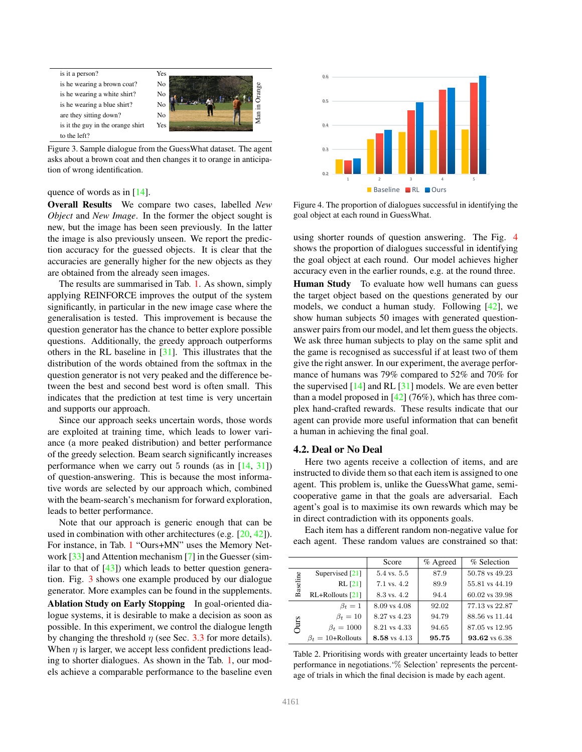



Figure 3. Sample dialogue from the GuessWhat dataset. The agent asks about a brown coat and then changes it to orange in anticipation of wrong identification.

#### quence of words as in [14].

Overall Results We compare two cases, labelled *New Object* and *New Image*. In the former the object sought is new, but the image has been seen previously. In the latter the image is also previously unseen. We report the prediction accuracy for the guessed objects. It is clear that the accuracies are generally higher for the new objects as they are obtained from the already seen images.

The results are summarised in Tab. 1. As shown, simply applying REINFORCE improves the output of the system significantly, in particular in the new image case where the generalisation is tested. This improvement is because the question generator has the chance to better explore possible questions. Additionally, the greedy approach outperforms others in the RL baseline in [31]. This illustrates that the distribution of the words obtained from the softmax in the question generator is not very peaked and the difference between the best and second best word is often small. This indicates that the prediction at test time is very uncertain and supports our approach.

Since our approach seeks uncertain words, those words are exploited at training time, which leads to lower variance (a more peaked distribution) and better performance of the greedy selection. Beam search significantly increases performance when we carry out 5 rounds (as in  $[14, 31]$ ) of question-answering. This is because the most informative words are selected by our approach which, combined with the beam-search's mechanism for forward exploration, leads to better performance.

Note that our approach is generic enough that can be used in combination with other architectures (e.g. [20, 42]). For instance, in Tab. 1 "Ours+MN" uses the Memory Network [33] and Attention mechanism [7] in the Guesser (similar to that of  $[43]$ ) which leads to better question generation. Fig. 3 shows one example produced by our dialogue generator. More examples can be found in the supplements. Ablation Study on Early Stopping In goal-oriented dialogue systems, it is desirable to make a decision as soon as possible. In this experiment, we control the dialogue length by changing the threshold  $\eta$  (see Sec. 3.3 for more details). When  $\eta$  is larger, we accept less confident predictions leading to shorter dialogues. As shown in the Tab. 1, our models achieve a comparable performance to the baseline even



Figure 4. The proportion of dialogues successful in identifying the goal object at each round in GuessWhat.

using shorter rounds of question answering. The Fig. 4 shows the proportion of dialogues successful in identifying the goal object at each round. Our model achieves higher accuracy even in the earlier rounds, e.g. at the round three.

Human Study To evaluate how well humans can guess the target object based on the questions generated by our models, we conduct a human study. Following [42], we show human subjects 50 images with generated questionanswer pairs from our model, and let them guess the objects. We ask three human subjects to play on the same split and the game is recognised as successful if at least two of them give the right answer. In our experiment, the average performance of humans was 79% compared to 52% and 70% for the supervised  $[14]$  and RL  $[31]$  models. We are even better than a model proposed in  $[42]$  (76%), which has three complex hand-crafted rewards. These results indicate that our agent can provide more useful information that can benefit a human in achieving the final goal.

## 4.2. Deal or No Deal

Here two agents receive a collection of items, and are instructed to divide them so that each item is assigned to one agent. This problem is, unlike the GuessWhat game, semicooperative game in that the goals are adversarial. Each agent's goal is to maximise its own rewards which may be in direct contradiction with its opponents goals.

Each item has a different random non-negative value for each agent. These random values are constrained so that:

|          |                           | Score                  | $%$ Agreed | % Selection    |
|----------|---------------------------|------------------------|------------|----------------|
| Baseline | Supervised [21]           | $5.4 \text{ vs. } 5.5$ | 87.9       | 50.78 vs 49.23 |
|          | $RL$ [21]                 | 7.1 vs. 4.2            | 89.9       | 55.81 vs 44.19 |
|          | $RL+Rollouts [21]$        | 8.3 vs. 4.2            | 94.4       | 60.02 vs 39.98 |
| Ours     | $\beta_t=1$               | 8.09 vs 4.08           | 92.02      | 77.13 vs 22.87 |
|          | $\beta_t=10$              | 8.27 vs 4.23           | 94.79      | 88.56 vs 11.44 |
|          | $\beta_t = 1000$          | 8.21 vs 4.33           | 94.65      | 87.05 vs 12.95 |
|          | $\beta_t = 10 +$ Rollouts | 8.58 vs 4.13           | 95.75      | 93.62 vs 6.38  |

Table 2. Prioritising words with greater uncertainty leads to better performance in negotiations.'% Selection' represents the percentage of trials in which the final decision is made by each agent.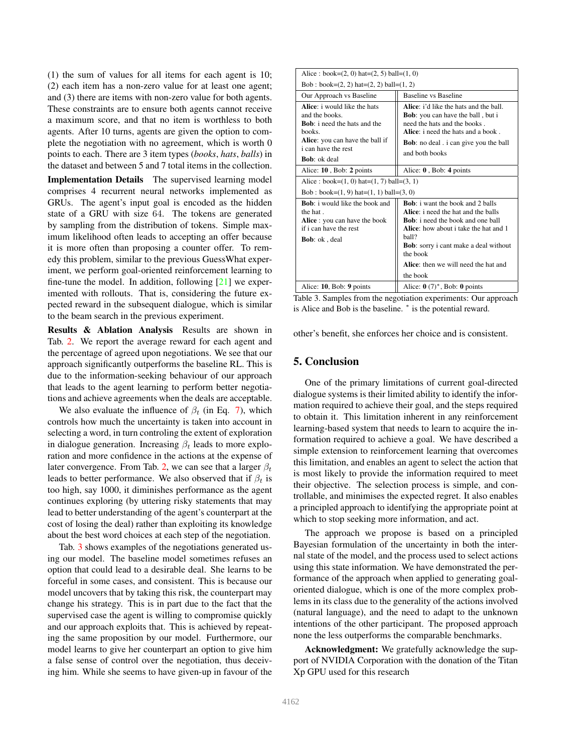(1) the sum of values for all items for each agent is 10; (2) each item has a non-zero value for at least one agent; and (3) there are items with non-zero value for both agents. These constraints are to ensure both agents cannot receive a maximum score, and that no item is worthless to both agents. After 10 turns, agents are given the option to complete the negotiation with no agreement, which is worth 0 points to each. There are 3 item types (*books*, *hats*, *balls*) in the dataset and between 5 and 7 total items in the collection.

Implementation Details The supervised learning model comprises 4 recurrent neural networks implemented as GRUs. The agent's input goal is encoded as the hidden state of a GRU with size 64. The tokens are generated by sampling from the distribution of tokens. Simple maximum likelihood often leads to accepting an offer because it is more often than proposing a counter offer. To remedy this problem, similar to the previous GuessWhat experiment, we perform goal-oriented reinforcement learning to fine-tune the model. In addition, following  $[21]$  we experimented with rollouts. That is, considering the future expected reward in the subsequent dialogue, which is similar to the beam search in the previous experiment.

Results & Ablation Analysis Results are shown in Tab. 2. We report the average reward for each agent and the percentage of agreed upon negotiations. We see that our approach significantly outperforms the baseline RL. This is due to the information-seeking behaviour of our approach that leads to the agent learning to perform better negotiations and achieve agreements when the deals are acceptable.

We also evaluate the influence of  $\beta_t$  (in Eq. 7), which controls how much the uncertainty is taken into account in selecting a word, in turn controling the extent of exploration in dialogue generation. Increasing  $\beta_t$  leads to more exploration and more confidence in the actions at the expense of later convergence. From Tab. 2, we can see that a larger  $\beta_t$ leads to better performance. We also observed that if  $\beta_t$  is too high, say 1000, it diminishes performance as the agent continues exploring (by uttering risky statements that may lead to better understanding of the agent's counterpart at the cost of losing the deal) rather than exploiting its knowledge about the best word choices at each step of the negotiation.

Tab. 3 shows examples of the negotiations generated using our model. The baseline model sometimes refuses an option that could lead to a desirable deal. She learns to be forceful in some cases, and consistent. This is because our model uncovers that by taking this risk, the counterpart may change his strategy. This is in part due to the fact that the supervised case the agent is willing to compromise quickly and our approach exploits that. This is achieved by repeating the same proposition by our model. Furthermore, our model learns to give her counterpart an option to give him a false sense of control over the negotiation, thus deceiving him. While she seems to have given-up in favour of the

| Alice: book= $(2, 0)$ hat= $(2, 5)$ ball= $(1, 0)$                                                                                                                                       |                                                                                                                                                                                                                                                                                                 |  |  |  |
|------------------------------------------------------------------------------------------------------------------------------------------------------------------------------------------|-------------------------------------------------------------------------------------------------------------------------------------------------------------------------------------------------------------------------------------------------------------------------------------------------|--|--|--|
| Bob : book= $(2, 2)$ hat= $(2, 2)$ ball= $(1, 2)$                                                                                                                                        |                                                                                                                                                                                                                                                                                                 |  |  |  |
| Our Approach vs Baseline                                                                                                                                                                 | Baseline vs Baseline                                                                                                                                                                                                                                                                            |  |  |  |
| Alice: i would like the hats<br>and the books.<br><b>Bob</b> : i need the hats and the<br>hooks<br>Alice: you can have the ball if<br><i>i</i> can have the rest<br><b>Bob</b> : ok deal | Alice: i'd like the hats and the hall<br><b>Bob</b> : you can have the ball, but i<br>need the hats and the books.<br>Alice: i need the hats and a book.<br><b>Bob</b> : no deal . i can give you the ball<br>and both books                                                                    |  |  |  |
| Alice: 10, Bob: 2 points                                                                                                                                                                 | Alice: $0$ , Bob: 4 points                                                                                                                                                                                                                                                                      |  |  |  |
| Alice: book= $(1, 0)$ hat= $(1, 7)$ ball= $(3, 1)$                                                                                                                                       |                                                                                                                                                                                                                                                                                                 |  |  |  |
| Bob : book= $(1, 9)$ hat= $(1, 1)$ ball= $(3, 0)$                                                                                                                                        |                                                                                                                                                                                                                                                                                                 |  |  |  |
| $Boh$ i would like the book and<br>the hat.<br>Alice: you can have the book<br>if i can have the rest<br><b>Bob</b> : ok, deal                                                           | <b>Bob</b> : i want the book and 2 balls<br>Alice: i need the hat and the balls<br><b>Bob</b> : i need the book and one ball<br>Alice: how about i take the hat and 1<br>hall?<br><b>Bob</b> : sorry i cant make a deal without<br>the book<br>Alice: then we will need the hat and<br>the book |  |  |  |
| Alice: 10, Bob: 9 points                                                                                                                                                                 | Alice: $\mathbf{0}$ (7) <sup>*</sup> , Bob: $\mathbf{0}$ points                                                                                                                                                                                                                                 |  |  |  |

Table 3. Samples from the negotiation experiments: Our approach is Alice and Bob is the baseline. <sup>∗</sup> is the potential reward.

other's benefit, she enforces her choice and is consistent.

## 5. Conclusion

One of the primary limitations of current goal-directed dialogue systems is their limited ability to identify the information required to achieve their goal, and the steps required to obtain it. This limitation inherent in any reinforcement learning-based system that needs to learn to acquire the information required to achieve a goal. We have described a simple extension to reinforcement learning that overcomes this limitation, and enables an agent to select the action that is most likely to provide the information required to meet their objective. The selection process is simple, and controllable, and minimises the expected regret. It also enables a principled approach to identifying the appropriate point at which to stop seeking more information, and act.

The approach we propose is based on a principled Bayesian formulation of the uncertainty in both the internal state of the model, and the process used to select actions using this state information. We have demonstrated the performance of the approach when applied to generating goaloriented dialogue, which is one of the more complex problems in its class due to the generality of the actions involved (natural language), and the need to adapt to the unknown intentions of the other participant. The proposed approach none the less outperforms the comparable benchmarks.

Acknowledgment: We gratefully acknowledge the support of NVIDIA Corporation with the donation of the Titan Xp GPU used for this research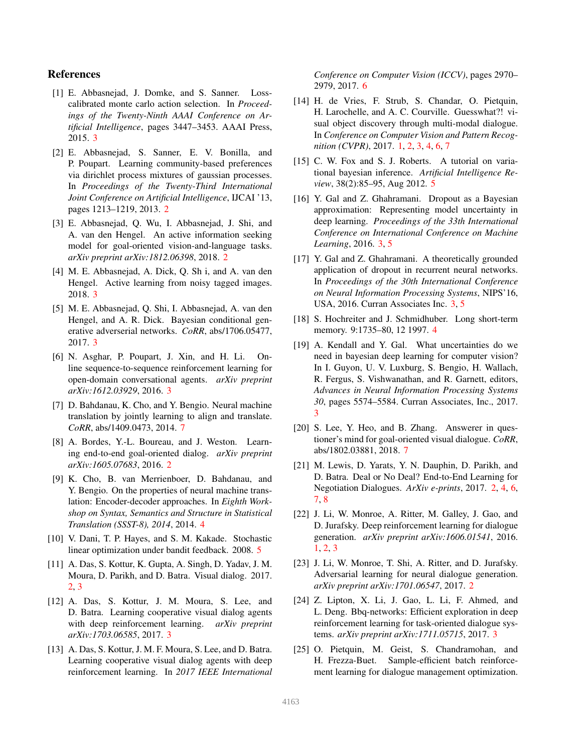# References

- [1] E. Abbasnejad, J. Domke, and S. Sanner. Losscalibrated monte carlo action selection. In *Proceedings of the Twenty-Ninth AAAI Conference on Artificial Intelligence*, pages 3447–3453. AAAI Press, 2015. 3
- [2] E. Abbasnejad, S. Sanner, E. V. Bonilla, and P. Poupart. Learning community-based preferences via dirichlet process mixtures of gaussian processes. In *Proceedings of the Twenty-Third International Joint Conference on Artificial Intelligence*, IJCAI '13, pages 1213–1219, 2013. 2
- [3] E. Abbasnejad, Q. Wu, I. Abbasnejad, J. Shi, and A. van den Hengel. An active information seeking model for goal-oriented vision-and-language tasks. *arXiv preprint arXiv:1812.06398*, 2018. 2
- [4] M. E. Abbasnejad, A. Dick, Q. Sh i, and A. van den Hengel. Active learning from noisy tagged images. 2018. 3
- [5] M. E. Abbasnejad, Q. Shi, I. Abbasnejad, A. van den Hengel, and A. R. Dick. Bayesian conditional generative adverserial networks. *CoRR*, abs/1706.05477, 2017. 3
- [6] N. Asghar, P. Poupart, J. Xin, and H. Li. Online sequence-to-sequence reinforcement learning for open-domain conversational agents. *arXiv preprint arXiv:1612.03929*, 2016. 3
- [7] D. Bahdanau, K. Cho, and Y. Bengio. Neural machine translation by jointly learning to align and translate. *CoRR*, abs/1409.0473, 2014. 7
- [8] A. Bordes, Y.-L. Boureau, and J. Weston. Learning end-to-end goal-oriented dialog. *arXiv preprint arXiv:1605.07683*, 2016. 2
- [9] K. Cho, B. van Merrienboer, D. Bahdanau, and Y. Bengio. On the properties of neural machine translation: Encoder-decoder approaches. In *Eighth Workshop on Syntax, Semantics and Structure in Statistical Translation (SSST-8), 2014*, 2014. 4
- [10] V. Dani, T. P. Hayes, and S. M. Kakade. Stochastic linear optimization under bandit feedback. 2008. 5
- [11] A. Das, S. Kottur, K. Gupta, A. Singh, D. Yadav, J. M. Moura, D. Parikh, and D. Batra. Visual dialog. 2017. 2, 3
- [12] A. Das, S. Kottur, J. M. Moura, S. Lee, and D. Batra. Learning cooperative visual dialog agents with deep reinforcement learning. *arXiv preprint arXiv:1703.06585*, 2017. 3
- [13] A. Das, S. Kottur, J. M. F. Moura, S. Lee, and D. Batra. Learning cooperative visual dialog agents with deep reinforcement learning. In *2017 IEEE International*

*Conference on Computer Vision (ICCV)*, pages 2970– 2979, 2017. 6

- [14] H. de Vries, F. Strub, S. Chandar, O. Pietquin, H. Larochelle, and A. C. Courville. Guesswhat?! visual object discovery through multi-modal dialogue. In *Conference on Computer Vision and Pattern Recognition (CVPR)*, 2017. 1, 2, 3, 4, 6, 7
- [15] C. W. Fox and S. J. Roberts. A tutorial on variational bayesian inference. *Artificial Intelligence Review*, 38(2):85–95, Aug 2012. 5
- [16] Y. Gal and Z. Ghahramani. Dropout as a Bayesian approximation: Representing model uncertainty in deep learning. *Proceedings of the 33th International Conference on International Conference on Machine Learning*, 2016. 3, 5
- [17] Y. Gal and Z. Ghahramani. A theoretically grounded application of dropout in recurrent neural networks. In *Proceedings of the 30th International Conference on Neural Information Processing Systems*, NIPS'16, USA, 2016. Curran Associates Inc. 3, 5
- [18] S. Hochreiter and J. Schmidhuber. Long short-term memory. 9:1735–80, 12 1997. 4
- [19] A. Kendall and Y. Gal. What uncertainties do we need in bayesian deep learning for computer vision? In I. Guyon, U. V. Luxburg, S. Bengio, H. Wallach, R. Fergus, S. Vishwanathan, and R. Garnett, editors, *Advances in Neural Information Processing Systems 30*, pages 5574–5584. Curran Associates, Inc., 2017. 3
- [20] S. Lee, Y. Heo, and B. Zhang. Answerer in questioner's mind for goal-oriented visual dialogue. *CoRR*, abs/1802.03881, 2018. 7
- [21] M. Lewis, D. Yarats, Y. N. Dauphin, D. Parikh, and D. Batra. Deal or No Deal? End-to-End Learning for Negotiation Dialogues. *ArXiv e-prints*, 2017. 2, 4, 6, 7, 8
- [22] J. Li, W. Monroe, A. Ritter, M. Galley, J. Gao, and D. Jurafsky. Deep reinforcement learning for dialogue generation. *arXiv preprint arXiv:1606.01541*, 2016. 1, 2, 3
- [23] J. Li, W. Monroe, T. Shi, A. Ritter, and D. Jurafsky. Adversarial learning for neural dialogue generation. *arXiv preprint arXiv:1701.06547*, 2017. 2
- [24] Z. Lipton, X. Li, J. Gao, L. Li, F. Ahmed, and L. Deng. Bbq-networks: Efficient exploration in deep reinforcement learning for task-oriented dialogue systems. *arXiv preprint arXiv:1711.05715*, 2017. 3
- [25] O. Pietquin, M. Geist, S. Chandramohan, and H. Frezza-Buet. Sample-efficient batch reinforcement learning for dialogue management optimization.